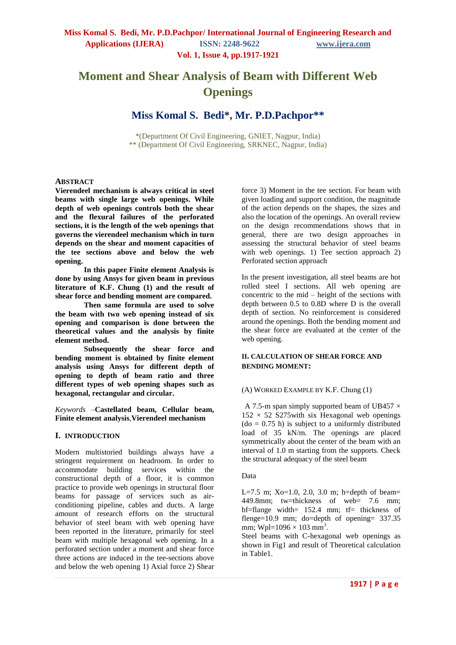# **Moment and Shear Analysis of Beam with Different Web Openings**

# **Miss Komal S. Bedi\*, Mr. P.D.Pachpor\*\***

\*(Department Of Civil Engineering, GNIET, Nagpur, India) \*\* (Department Of Civil Engineering, SRKNEC, Nagpur, India)

#### **ABSTRACT**

**Vierendeel mechanism is always critical in steel beams with single large web openings. While depth of web openings controls both the shear and the flexural failures of the perforated sections, it is the length of the web openings that governs the vierendeel mechanism which in turn depends on the shear and moment capacities of the tee sections above and below the web opening.**

 **In this paper Finite element Analysis is done by using Ansys for given beam in previous literature of K.F. Chung (1) and the result of shear force and bending moment are compared.** 

 **Then same formula are used to solve the beam with two web opening instead of six opening and comparison is done between the theoretical values and the analysis by finite element method.** 

 **Subsequently the shear force and bending moment is obtained by finite element analysis using Ansys for different depth of opening to depth of beam ratio and three different types of web opening shapes such as hexagonal, rectangular and circular.**

*Keywords* –**Castellated beam, Cellular beam, Finite element analysis**,**Vierendeel mechanism**

#### **I. INTRODUCTION**

Modern multistoried buildings always have a stringent requirement on headroom. In order to accommodate building services within the constructional depth of a floor, it is common practice to provide web openings in structural floor beams for passage of services such as airconditioning pipeline, cables and ducts. A large amount of research efforts on the structural behavior of steel beam with web opening have been reported in the literature, primarily for steel beam with multiple hexagonal web opening. In a perforated section under a moment and shear force three actions are induced in the tee-sections above and below the web opening 1) Axial force 2) Shear force 3) Moment in the tee section. For beam with given loading and support condition, the magnitude of the action depends on the shapes, the sizes and also the location of the openings. An overall review on the design recommendations shows that in general, there are two design approaches in assessing the structural behavior of steel beams with web openings. 1) Tee section approach 2) Perforated section approach

In the present investigation, all steel beams are hot rolled steel I sections. All web opening are concentric to the mid – height of the sections with depth between 0.5 to 0.8D where D is the overall depth of section. No reinforcement is considered around the openings. Both the bending moment and the shear force are evaluated at the center of the web opening.

#### **II. CALCULATION OF SHEAR FORCE AND BENDING MOMENT:**

#### (A) WORKED EXAMPLE BY K.F. Chung (1)

A 7.5-m span simply supported beam of UB457  $\times$  $152 \times 52$  S275 with six Hexagonal web openings  $(do = 0.75 h)$  is subject to a uniformly distributed load of 35 kN/m. The openings are placed symmetrically about the center of the beam with an interval of 1.0 m starting from the supports. Check the structural adequacy of the steel beam

#### Data

L=7.5 m; Xo=1.0, 2.0, 3.0 m; h=depth of beam= 449.8mm; tw=thickness of web= 7.6 mm;  $bf=flange$  width= 152.4 mm; tf= thickness of flenge= $10.9$  mm; do=depth of opening= 337.35 mm; Wpl=1096  $\times$  103 mm<sup>3</sup>.

Steel beams with C-hexagonal web openings as shown in Fig1 and result of Theoretical calculation in Table1.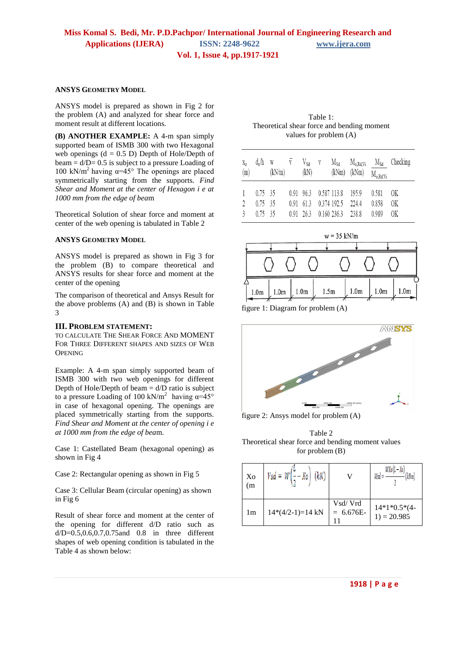#### **ANSYS GEOMETRY MODEL**

ANSYS model is prepared as shown in Fig 2 for the problem (A) and analyzed for shear force and moment result at different locations.

**(B) ANOTHER EXAMPLE:** A 4-m span simply supported beam of ISMB 300 with two Hexagonal web openings  $(d = 0.5 \text{ D})$  Depth of Hole/Depth of beam  $= d/D = 0.5$  is subject to a pressure Loading of 100 kN/m<sup>2</sup> having  $\alpha=45^\circ$  The openings are placed symmetrically starting from the supports. *Find Shear and Moment at the center of Hexagon i e at 1000 mm from the edge of bea*m

Theoretical Solution of shear force and moment at center of the web opening is tabulated in Table 2

#### **ANSYS GEOMETRY MODEL**

ANSYS model is prepared as shown in Fig 3 for the problem (B) to compare theoretical and ANSYS results for shear force and moment at the center of the opening

The comparison of theoretical and Ansys Result for the above problems (A) and (B) is shown in Table 3

#### **III. PROBLEM STATEMENT:**

TO CALCULATE THE SHEAR FORCE AND MOMENT FOR THREE DIFFERENT SHAPES AND SIZES OF WEB **OPENING** 

Example: A 4-m span simply supported beam of ISMB 300 with two web openings for different Depth of Hole/Depth of beam  $= d/D$  ratio is subject to a pressure Loading of 100 kN/m<sup>2</sup> having  $\alpha=45^{\circ}$ in case of hexagonal opening. The openings are placed symmetrically starting from the supports. *Find Shear and Moment at the center of opening i e at 1000 mm from the edge of bea*m.

Case 1: Castellated Beam (hexagonal opening) as shown in Fig 4

Case 2: Rectangular opening as shown in Fig 5

Case 3: Cellular Beam (circular opening) as shown in Fig 6

Result of shear force and moment at the center of the opening for different d/D ratio such as  $d/D = 0.5, 0.6, 0.7, 0.75$  and 0.8 in three different shapes of web opening condition is tabulated in the Table 4 as shown below:

Table 1: Theoretical shear force and bending moment values for problem (A)

| $X_{\mathcal{O}}$<br>(m) | $d_0/h$ w                                 | $\overline{V}$<br>(kN/m) |             | $V_{Sd}$<br>(kN)                      | V | (kNm) (kNm)                                   |                | $M_{o,RdNi}$            | $M_{Sd}$ $M_{o, Rd, Vi}$ $M_{Sd}$ Checking |
|--------------------------|-------------------------------------------|--------------------------|-------------|---------------------------------------|---|-----------------------------------------------|----------------|-------------------------|--------------------------------------------|
| $\gamma$<br>3            | $0.75 \quad 35$<br>$0.75$ 35<br>$0.75$ 35 |                          | $0.91$ 61.3 | $0.91\quad 96.3$<br>$0.91 \quad 26.3$ |   | 0.587 113.8<br>0.374 192.5<br>0.160236.3238.8 | 195.9<br>224.4 | 0.581<br>0.858<br>0.989 | ОK<br>ОK<br>ОK                             |



figure 1: Diagram for problem (A)



figure 2: Ansys model for problem (A)

Table 2 Theoretical shear force and bending moment values for problem (B)

| Xo<br>(m) | $Vsd = W[--Xo]$    |                        | $WX_0(L-X_0)$<br>kNm            |
|-----------|--------------------|------------------------|---------------------------------|
| 1m        | $14*(4/2-1)=14$ kN | Vsd/Vrd<br>$= 6.676E-$ | $14*1*0.5*(4-$<br>$1) = 20.985$ |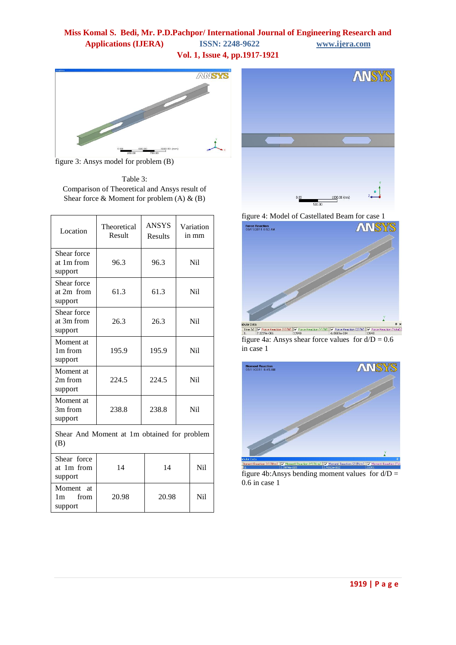## **Miss Komal S. Bedi, Mr. P.D.Pachpor/ International Journal of Engineering Research and Applications (IJERA) ISSN: 2248-9622 www.ijera.com Vol. 1, Issue 4, pp.1917-1921**



figure 3: Ansys model for problem (B)

Table 3: Comparison of Theoretical and Ansys result of Shear force  $\&$  Moment for problem (A)  $\&$  (B)

| Location                                           | Theoretical<br>Result | <b>ANSYS</b><br><b>Results</b> | Variation<br>in mm |     |  |
|----------------------------------------------------|-----------------------|--------------------------------|--------------------|-----|--|
| Shear force<br>at 1m from<br>support               | 96.3                  | 96.3                           |                    | Ni1 |  |
| Shear force<br>at 2m from<br>support               | 61.3                  | 61.3                           |                    | Ni1 |  |
| Shear force<br>at 3m from<br>support               | 26.3                  | 26.3                           | Ni1                |     |  |
| Moment at<br>1m from<br>support                    | 195.9                 | 195.9                          |                    | Ni1 |  |
| Moment at<br>2m from<br>support                    | 224.5                 | 224.5                          |                    | Nil |  |
| Moment at<br>3m from<br>support                    | 238.8                 | 238.8                          | N <sub>i</sub> l   |     |  |
| Shear And Moment at 1m obtained for problem<br>(B) |                       |                                |                    |     |  |
| Shear force<br>at 1m from<br>support               | 14                    | 14                             |                    | Ni1 |  |
| Moment at<br>from<br>1m<br>support                 | 20.98                 |                                | 20.98              |     |  |



figure 4: Model of Castellated Beam for case 1



figure 4a: Ansys shear force values for  $d/D = 0.6$ in case 1



figure 4b: Ansys bending moment values for  $d/D =$ 0.6 in case 1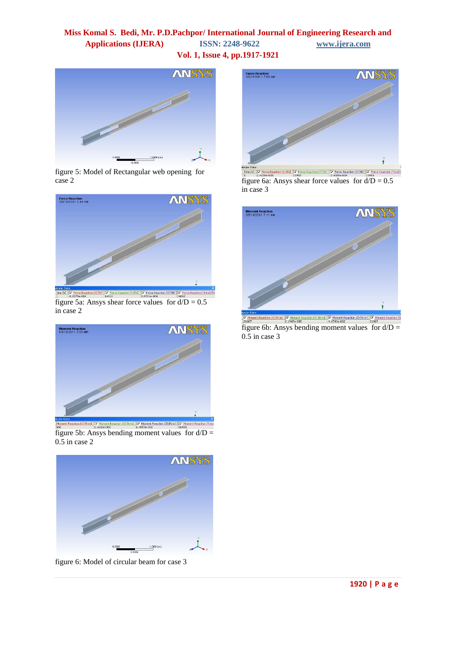## **Miss Komal S. Bedi, Mr. P.D.Pachpor/ International Journal of Engineering Research and Applications (IJERA) ISSN: 2248-9622 www.ijera.com Vol. 1, Issue 4, pp.1917-1921**



figure 5: Model of Rectangular web opening for case 2



figure 5a: Ansys shear force values for  $d/D = 0.5$ in case 2



figure 5b: Ansys bending moment values for  $d/D =$ 0.5 in case 2



figure 6: Model of circular beam for case 3



Fine [st]  $\frac{|\text{True}}{2,42396\cdot005}$ <br>  $\frac{|\text{True}}{10,2,42396\cdot005}$ <br>  $\text{figure 6a: Answer of 13993}$ <br>  $\text{figure 6a: Answer of 13993}$ <br>  $\text{figure 6a:}$  Ansys shear force values for  $d/D = 0.5$ in case 3



nt Reaction (X) [N·m] | Ø Moment Reaction (Y) [N·m] | Ø Moment Reaction (Z) [N·m] | Ø Mo<br>2.1947e-005 → 1.1743e-002 → 2.1007 figure 6b: Ansys bending moment values for  $d/D =$ 0.5 in case 3